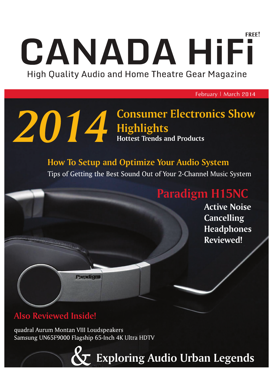## FRFF! CANADA HiFi High Quality Audio and Home Theatre Gear Magazine

February | March 2014

# **2014** Consumer Electronics Show<br>Highlights<br>Hottest Trends and Products

## **How To Setup and Optimize Your Audio System**

Tips of Getting the Best Sound Out of Your 2-Channel Music System

## **Paradigm H15NC**

**Active Noise Cancelling Headphones Reviewed!** 

## **Also Reviewed Inside!**

quadral Aurum Montan VIII Loudspeakers Samsung UN65F9000 Flagship 65-Inch 4K Ultra HDTV

Paradigna

**Exploring Audio Urban Legends**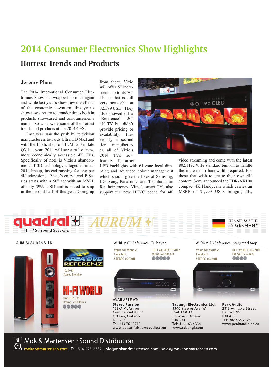## **2014 Consumer Electronics Show Highlights**

#### **Hottest Trends and Products**

#### **Jeremy Phan**

The 2014 International Consumer Electronics Show has wrapped up once again and while last year's show saw the effects of the economic downturn, this year's show saw a return to grander times both in products showcased and announcements made. So what were some of the hottest trends and products at the 2014 CES?

 Last year saw the push by television manufacturers towards Ultra HD (4K) and with the finalization of HDMI 2.0 in late Q3 last year, 2014 will see a raft of new, more economically accessible 4K TVs. Specifically of note is Vizio's abandonment of 3D technology altogether in its 2014 lineup, instead pushing for cheaper 4K televisions. Vizio's entry-level P-Series starts with a 50" set with an MSRP of only \$999 USD and is slated to ship in the second half of this year. Going up

from there, Vizio will offer 5" increments up to its 70" 4K set that is still very accessible at \$2,599 USD. They also showed off a 'Reference' 120" 4K TV but didn't provide pricing or availability. Previously a second tier manufacturer, all of Vizio's 2014 TVs now feature full-array

LED backlights with 64-zone local dimming and advanced colour management which should give the likes of Samsung, LG, Sony, Panasonic, and Toshiba a run for their money. Vizio's smart TVs also support the new HEVC codec for 4K

4K Curved OLED

video streaming and come with the latest 802.11ac WiFi standard built-in to handle the increase in bandwidth required. For those that wish to create their own 4K content, Sony announced the FDR-AX100 compact 4K Handycam which carries an MSRP of \$1,999 USD, bringing 4K,



 $\left[\underline{\mathsf{U}}\right]$  Mok & Martensen : Sound Distribution

mokandmartensen.com | Tel: 514-225-2337 | info@mokandmartensen.com | sales@mokandmartensen.com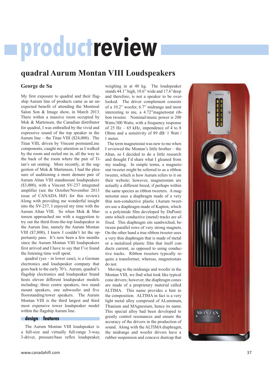## **productreview**

#### **quadral Aurum Montan VIII Loudspeakers**

#### **George de Sa**

My first exposure to quadral and their flagship Aurum line of products came as an unexpected benefit of attending the Montreal Salon Son & Image show, in March 2013. There within a massive room occupied by Mok & Martensen, the Canadian distributor for quadral, I was enthralled by the vivid and expressive sound of the top speaker in the Aurum line – the Titan VIII (\$24,000). The Titan VIII, driven by Vincent premiumLine components, caught my attention as I walked by the room and reeled me in, all the way to the back of the room where the pair of Titan's sat orating. More recently, at the suggestion of Mok & Martensen, I had the pleasure of auditioning a more demure pair of Aurum Altan VIII standmount loudspeakers (\$3,000), with a Vincent SV-237 integrated amplifier (see the October/November 2013 issue of CANADA HiFi for this review). Along with providing me wonderful insight into the SV-237, I enjoyed my time with the Aurum Altan VIII. So when Mok & Martensen approached me with a suggestion to try out the third-from-the-top loudspeaker in the Aurum line, namely the Aurum Montan VIII (\$7,800), I knew I couldn't let the opportunity pass. It's now been a few months since the Aurum Montan VIII loudspeakers first arrived and I have to say that I've found the listening time well spent.

 quadral (yes - in lower case), is a German electronics and loudspeaker company that goes back to the early 70's. Aurum, quadral's flagship electronics and loudspeaker brand hosts eleven different loudspeaker models including: three centre speakers, two standmount speakers, one subwoofer and five floorstanding/tower speakers. The Aurum Montan VIII is the third largest and third most expensive tower loudspeaker model within the flagship Aurum line.

#### **design | features**

 The Aurum Montan VIII loudspeaker is a full-size and virtually full-range 3-way, 3-driver, pressure/bass reflex loudspeaker, weighing in at 40 kg. The loudspeaker stands 44.1" high, 10.6" wide and 17.6"deep and therefore, is not a speaker to be overlooked. The driver complement consists of a 10.2" woofer, 6.7" midrange and most interesting to me, a 4.72"magnetostat ribbon tweeter. Nominal/music power is 200 Watts/300 Watts, with a frequency response of 25 Hz – 65 kHz, impendence of 4 to 8 Ohms and a sensitivity of 89 dB/ 1 Watt / 1 meter.

 The term magnetostat was new to me when I reviewed the Montan's little brother – the Altan, so I decided to do a little research and thought I'd share what I gleaned from my reading. In simple terms, a magnetostat tweeter might be referred to as a ribbon tweeter, which is how Aurum refers to it on their website; however, magnetostats are actually a different breed, if perhaps within the same species as ribbon tweeters. A magnetostat uses a diaphragm made of a very thin non-conductive plastic (Aurum tweeters use a diaphragm made of Kapton, which is a polyimide film developed by DuPont) onto which conductive (metal) tracks are affixed. This diaphragm sits sandwiched, between parallel rows of very strong magnets. On the other hand a true ribbon tweeter uses a very thin diaphragm that is made of metal or a metalized plastic film that itself conducts current, as opposed to using conductive tracks. Ribbon tweeters typically require a transformer, whereas, magnetostats do not.

 Moving to the midrange and woofer in the Montan VIII, we find what look like typical cone drivers; however, the diaphragm cones are made of a proprietary material called ALTIMA. This name provides a hint to the composition. ALTIMA in fact is a very light metal alloy comprised of ALuminum, TItanium and MAgnesium, hence its name. This special alloy had been developed to greatly control resonances and ensure the accuracy of the drivers in the production of sound. Along with the ALTIMA diaphragm, the midrange and woofer drivers have a rubber suspension and concave dustcap that

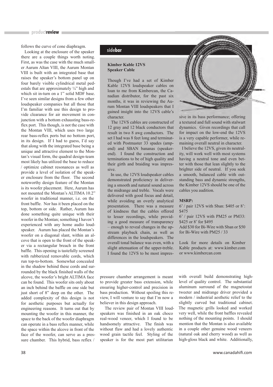#### productreview

follows the curve of cone diaphragm.

 Looking at the enclosure of the speaker there are a couple things worth noting. First, as was the case with the much smaller Aurum Altan VIII, the Aurum Montan VIII is built with an integrated base that raises the speaker's bottom panel up on four barely visible cylindrical metal pedestals that are approximately ¼" high and which sit in-turn on a 1" solid MDF base. I've seen similar designs from a few other loudspeaker companies but all those that I'm familiar with use this design to provide clearance for air movement in conjunction with a bottom exhausting bass-reflex port. This though, is not the case with the Montan VIII, which uses two large rear bass-reflex ports but no bottom port, in its design. If I had to guess, I'd say that along with the integrated base being a unique and attractive element to the Montan's visual form, the quadral design-team most likely has utilized the base to reduce / optimize cabinet resonances as well as provide a level of isolation of the speaker enclosure from the floor. The second noteworthy design feature of the Montan is its woofer placement. Here, Aurum has not mounted the Montan's ALTIMA 10.2" woofer in traditional manner, i.e. on the front baffle. Nor has it been placed on the top, bottom or side. Rather, Aurum has done something quite unique with their woofer in the Montan; something I haven't experienced with any home audio loudspeaker. Aurum has placed the Montan's woofer on a diagonal slant, within an alcove that is open to the front of the speaker via a rectangular breach in the front baffle. This opening is tastefully screened with rubberized removable cords, which run top-to-bottom. Somewhat concealed in the shadow behind these cords and surrounded by the black finished walls of the alcove, the woofer's bright ALTIMA face can be found. This woofer sits only about an inch behind the baffle on one side but just short of 8" deep on the other. The added complexity of this design is not for aesthetic purposes but actually for engineering reasons. It turns out that by mounting the woofer in this manner, the space to the back of the woofer diaphragm can operate in a bass reflex manner, while the space within the alcove in front of the face of the woofer, can serve as a pressure chamber. This hybrid, bass reflex /

#### **sidebar**

#### **Kimber Kable 12VS Speaker Cable**

Though I've had a set of Kimber Kable 12VS loudspeaker cables on loan to me from Kimbercan, the Canadian distributor, for the past six months, it was in reviewing the Aurum Montan VIII loudspeakers that I gained insight into the 12VS cable's character.

 The 12VS cables are constructed of 12 gray and 12 black conductors that result in two 8 awg conductors. The set I had was 8 feet long and terminated with Postmaster 33 spades (ampend) and SBAN bananas (speakerend). I found the construction and terminations to be of high quality and their girth and braiding was impressive.

 In use, the 12VS loudspeaker cables demonstrated proficiency in delivering a smooth and natural sound across the midrange and treble. Vocals were delivered with good focus and detail, while avoiding an overly analytical presentation. There was a measure of kindness that the cables offered to lesser recordings, while providing a good measure of transparency – enough to reveal changes in the upstream playback chain, as well as differences in the loudspeakers. The overall tonal balance was even, with a slight attenuation of the upper-treble. I found the 12VS to be most impres-

sive in its bass performance; offering a textured and full sound with stalwart dynamics. Given recordings that call for impact on the low-end the 12VS is a very capable performer, while remaining overall neutral in character.

 I believe the 12VS, given its neutrality, will work well with most systems having a neutral tone and even better with those that lean slightly to the brighter side of neutral. If you seek a smooth, balanced cable with outstanding bass and dynamic strengths, the Kimber 12VS should be one of the cables you audition.

#### **MSRP:**

6' / pair 12VS with Sban: \$405 or 8': \$475

6' / pair 12VS with PM25 or PM33: \$425 or 8' for \$495

Add \$30 for Bi-Wire with Sban or \$50 for Bi-Wire with PM25 / 33

Look for more details on Kimber Kable products at: www.kimber.com or www.kimbercan.com

pressure chamber arrangement is meant to provide greater bass extension, while ensuring higher-control and precision in bass production. Without spoiling this review, I will venture to say that I'm now a believer in this design approach.

 The review pair of Montan VIII loudspeakers was finished in an oak choco real-wood veneer, which I found to be handsomely attractive. The finish was without flaw and had a lovely authentic wood grain tactile feel. Styling of the speaker is for the most part utilitarian

with overall build demonstrating highlevel of quality control. The substantial aluminum surround of the magnetostat tweeter and midrange driver provided a modern / industrial aesthetic relief to the slightly curved but traditional cabinet. The magnetic grills looked and worked very well, while the front baffles revealed nothing of the mounting points. I should mention that the Montan is also available in a couple other genuine wood veneers (natural oak and cherry wood) as well as high-gloss black and white. Additionally,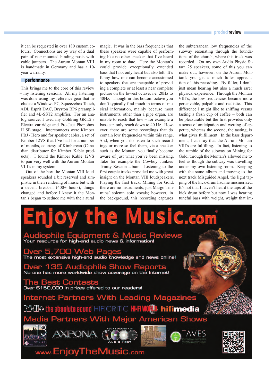#### it can be requested in over 180 custom colours. Connections are by way of a dual pair of rear-mounted binding posts with cable jumpers. The Aurum Montan VIII is handmade in Germany and has a 10 year warranty.

#### **performance**

This brings me to the core of this review – my listening sessions. All my listening was done using my reference gear that includes: a Windows PC, Squeezebox Touch, ADL Esprit DAC, Bryston BP6 preamplifier and 4B-SST2 amplifier. For an analog source, I used my Goldring GR1.2 / Electra cartridge and Pro-Ject Phonobox II SE stage. Interconnects were Kimber PBJ / Hero and for speaker cables, a set of Kimber 12VS that I've had for a number of months, courtesy of Kimbercan (Canadian distributor for Kimber Kable products). I found the Kimber Kable 12VS to pair very well with the Aurum Montan VIII's in my system.

 Out of the box the Montan VIII loudspeakers sounded a bit reserved and simplistic in their rendering of music but with a decent break-in (400+ hours), things changed and before I knew it the Montan's began to seduce me with their aural

magic. It was in the bass frequencies that these speakers were capable of performing like no other speaker that I've heard in my room to date. Here the Montan's could provide exceptionally extended bass that I not only heard but also felt. It's funny how one can become accustomed to speakers that are incapable of providing a complete or at least a near complete picture on the lowest octave, i.e. 20Hz to 40Hz. Though in this bottom octave you don't typically find much in terms of musical information, mainly because most instruments, other than a pipe organ, are unable to reach that low – for example a bass can only reach down to 40 Hz. However, there are some recordings that do contain low frequencies within this range. And, when you do listen to such recordings or more-so feel them, via a speaker such as the Montan, you finally become aware of just what you've been missing. Take for example the Cowboy Junkies Trinity Session album. Listening to the first couple tracks provided me with great insight on the Montan VIII loudspeakers. Playing the first track, Mining for Gold, there are no instruments, just Margo Timmins' solemn solo vocals; however, in the background, this recording captures

#### **productreview**

the subterranean low frequencies of the subway resonating through the foundations of the church, where this track was recorded. On my own Audio Physic Sitara 25 speakers, some of this you can make out; however, on the Aurum Montan's you get a much fuller appreciation of this recording. By fuller, I don't just mean hearing but also a much rarer physical experience. Through the Montan VIII's, the low frequencies became more perceivable, palpable and realistic. This difference I might like to sniffing versus tasting a fresh cup of coffee – both can be pleasurable but the first provides only a sense of anticipation and wetting of appetite, whereas the second, the tasting, is what gives fulfillment. In the bass department, I can say that the Aurum Montan VIII's are fulfilling. In fact, listening to the rumble of the subway on Mining for Gold, through the Montan's allowed me to feel as though the subway was travelling under my own listening room. Keeping with the same album and moving to the next track Misguided Angel, the light tapping of the kick-drum had me mesmerized. It's not that I haven't heard the taps of the kick drum before but now I was hearing tuneful bass with weight, weight that im-